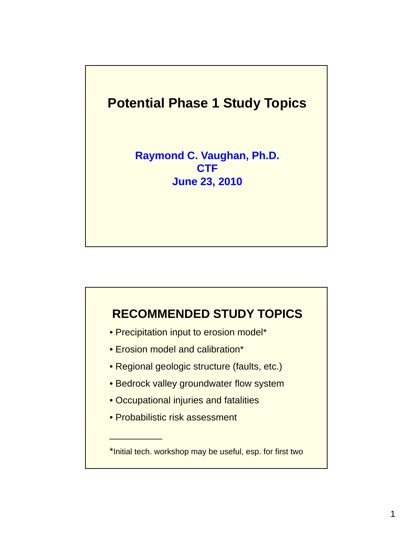# **Potential Phase 1 Study Topics Raymond C. Vaughan, Ph.D. CTF June 23, 2010**

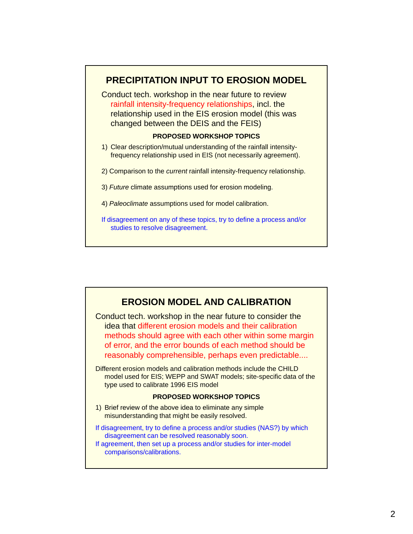

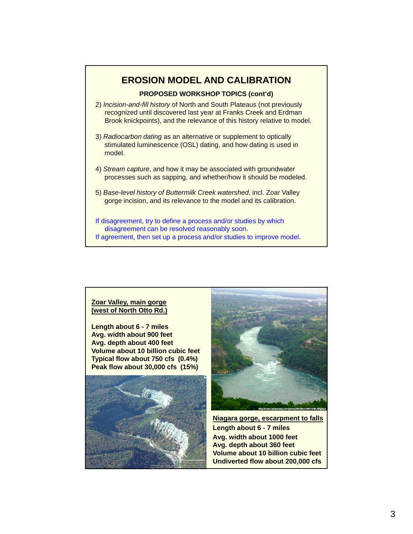# **EROSION MODEL AND CALIBRATION**

### **PROPOSED WORKSHOP TOPICS (cont'd)**

- 2) *Incision-and-fill history* of North and South Plateaus (not previously recognized until discovered last year at Franks Creek and Erdman Brook knickpoints), and the relevance of this history relative to model.
- 3) *Radiocarbon dating* as an alternative or supplement to optically stimulated luminescence (OSL) dating, and how dating is used in model.
- 4) *Stream capture*, and how it may be associated with groundwater processes such as sapping, and whether/how it should be modeled.
- 5) *Base-level history of Buttermilk Creek watershed*, incl. Zoar Valley gorge incision, and its relevance to the model and its calibration.
- If disagreement, try to define a process and/or studies by which disagreement can be resolved reasonably soon. If agreement, then set up a process and/or studies to improve model.

#### **Zoar Valley, main gorge (west of North Otto Rd.)**

**Length about 6 - 7 miles Avg. width about 900 feet Avg. depth about 400 feet Volume about 10 billion cubic feet Typical flow about 750 cfs (0.4%) Peak flow about 30,000 cfs (15%)**





**Niagara gorge, escarpment to falls Length about 6 - 7 miles Avg. width about 1000 feet Avg. depth about 360 feet Volume about 10 billion cubic feet Undiverted flow about 200,000 cfs**